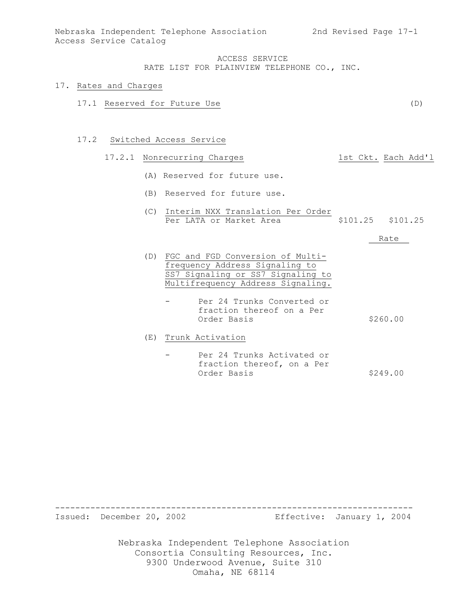#### 17. Rates and Charges

17.1 Reserved for Future Use (D)

#### 17.2 Switched Access Service

### 17.2.1 Nonrecurring Charges 1st Ckt. Each Add'l

- (A) Reserved for future use.
- (B) Reserved for future use.
- (C) Interim NXX Translation Per Order<br>Per LATA or Market Area (\$101.25) \$101.25 Per LATA or Market Area

Rate

- (D) FGC and FGD Conversion of Multifrequency Address Signaling to SS7 Signaling or SS7 Signaling to Multifrequency Address Signaling.
	- Per 24 Trunks Converted or fraction thereof on a Per Order Basis  $$260.00$
- (E) Trunk Activation
	- Per 24 Trunks Activated or fraction thereof, on a Per Order Basis \$249.00

----------------------------------------------------------------------- Issued: December 20, 2002 Effective: January 1, 2004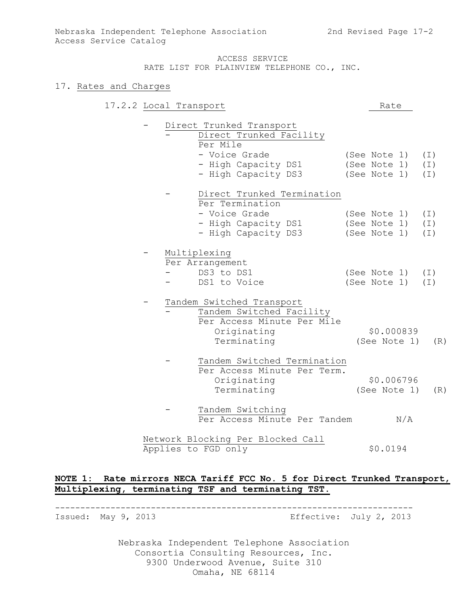### 17. Rates and Charges

| 17.2.2 Local Transport |  |                                   |  | Rate         |     |          |
|------------------------|--|-----------------------------------|--|--------------|-----|----------|
|                        |  | Direct Trunked Transport          |  |              |     |          |
|                        |  | Direct Trunked Facility           |  |              |     |          |
|                        |  | Per Mile                          |  |              |     |          |
|                        |  | - Voice Grade                     |  | (See Note 1) |     | (I)      |
|                        |  | - High Capacity DS1               |  | (See Note 1) |     | (I)      |
|                        |  | - High Capacity DS3               |  | (See Note 1) |     | $(\bot)$ |
|                        |  | Direct Trunked Termination        |  |              |     |          |
|                        |  | Per Termination                   |  |              |     |          |
|                        |  | - Voice Grade                     |  | (See Note 1) |     | (I)      |
|                        |  | - High Capacity DS1               |  | (See Note 1) |     | (I)      |
|                        |  | - High Capacity DS3               |  | (See Note 1) |     | $(\bot)$ |
|                        |  | Multiplexing                      |  |              |     |          |
|                        |  | Per Arrangement                   |  |              |     |          |
|                        |  | DS3 to DS1                        |  | (See Note 1) |     | (I)      |
|                        |  | DS1 to Voice                      |  | (See Note 1) |     | (I)      |
|                        |  | Tandem Switched Transport         |  |              |     |          |
|                        |  | Tandem Switched Facility          |  |              |     |          |
|                        |  | Per Access Minute Per Mile        |  |              |     |          |
|                        |  | Originating                       |  | \$0.000839   |     |          |
|                        |  | Terminating                       |  | (See Note 1) |     | (R)      |
|                        |  | Tandem Switched Termination       |  |              |     |          |
|                        |  | Per Access Minute Per Term.       |  |              |     |          |
|                        |  | Originating                       |  | \$0.006796   |     |          |
|                        |  | Terminating                       |  | (See Note 1) |     | (R)      |
|                        |  | Tandem Switching                  |  |              |     |          |
|                        |  | Per Access Minute Per Tandem      |  |              | N/A |          |
|                        |  | Network Blocking Per Blocked Call |  |              |     |          |
|                        |  | Applies to FGD only               |  | \$0.0194     |     |          |

# **NOTE 1: Rate mirrors NECA Tariff FCC No. 5 for Direct Trunked Transport, Multiplexing, terminating TSF and terminating TST.**

-----------------------------------------------------------------------

Issued: May 9, 2013 Effective: July 2, 2013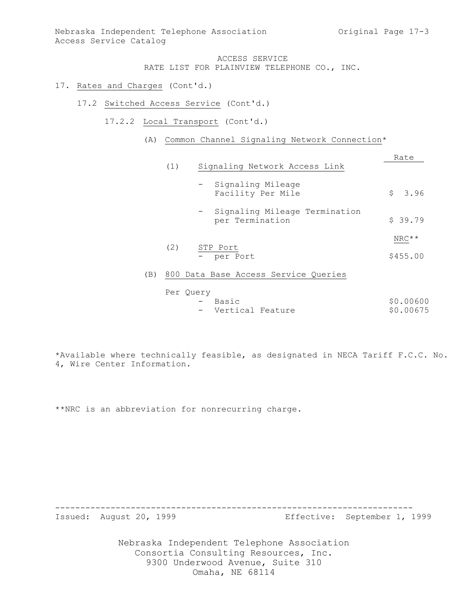### 17. Rates and Charges (Cont'd.)

- 17.2 Switched Access Service (Cont'd.)
	- 17.2.2 Local Transport (Cont'd.)
		- (A) Common Channel Signaling Network Connection\*

|     |     |                                                  | Rate      |
|-----|-----|--------------------------------------------------|-----------|
|     | (1) | Signaling Network Access Link                    |           |
|     |     | - Signaling Mileage<br>Facility Per Mile         | \$3.96    |
|     |     | Signaling Mileage Termination<br>per Termination | \$39.79   |
|     | (2) | STP Port                                         | $NRC**$   |
|     |     | - per Port                                       | \$455.00  |
| (B) |     | 800 Data Base Access Service Queries             |           |
|     |     | Per Query<br>Basic                               | \$0.00600 |

- Vertical Feature  $$0.00675$ 

\*Available where technically feasible, as designated in NECA Tariff F.C.C. No. 4, Wire Center Information.

\*\*NRC is an abbreviation for nonrecurring charge.

-----------------------------------------------------------------------

Issued: August 20, 1999 Effective: September 1, 1999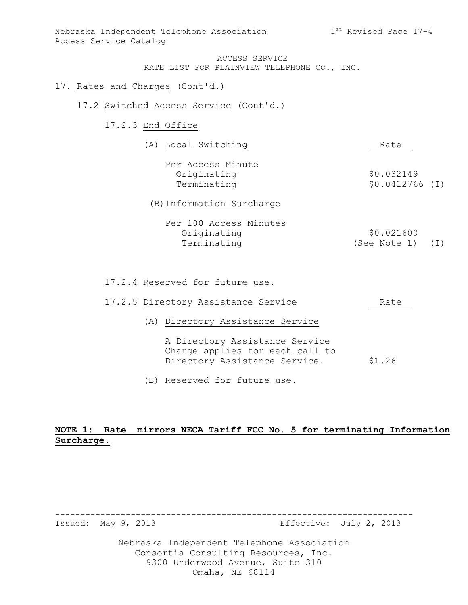- 17. Rates and Charges (Cont'd.)
	- 17.2 Switched Access Service (Cont'd.)

# 17.2.3 End Office

| (A) Local Switching                             | Rate                           |
|-------------------------------------------------|--------------------------------|
| Per Access Minute<br>Originating<br>Terminating | \$0.032149<br>$$0.0412766$ (I) |
| (B) Information Surcharge                       |                                |
| Per 100 Access Minutes                          |                                |

| ICI IVV NUCCUL NIINGCU |                  |  |
|------------------------|------------------|--|
| Originating            | \$0.021600       |  |
| Terminating            | (See Note 1) (I) |  |

17.2.4 Reserved for future use.

|  | 17.2.5 Directory Assistance Service                                                                | Rate   |
|--|----------------------------------------------------------------------------------------------------|--------|
|  | (A) Directory Assistance Service                                                                   |        |
|  | A Directory Assistance Service<br>Charge applies for each call to<br>Directory Assistance Service. | \$1.26 |

(B) Reserved for future use.

# **NOTE 1: Rate mirrors NECA Tariff FCC No. 5 for terminating Information Surcharge.**

-----------------------------------------------------------------------

Issued: May 9, 2013 Effective: July 2, 2013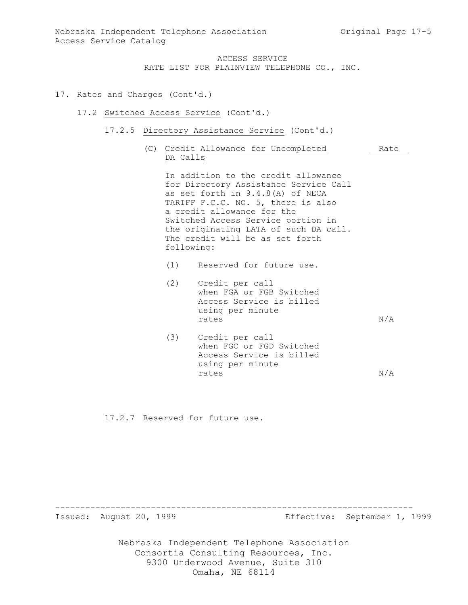- 17. Rates and Charges (Cont'd.)
	- 17.2 Switched Access Service (Cont'd.)
		- 17.2.5 Directory Assistance Service (Cont'd.)
			- (C) Credit Allowance for Uncompleted Rate DA Calls

In addition to the credit allowance for Directory Assistance Service Call as set forth in 9.4.8(A) of NECA TARIFF F.C.C. NO. 5, there is also a credit allowance for the Switched Access Service portion in the originating LATA of such DA call. The credit will be as set forth following:

- (1) Reserved for future use.
- (2) Credit per call when FGA or FGB Switched Access Service is billed using per minute rates  $N/A$
- (3) Credit per call when FGC or FGD Switched Access Service is billed using per minute rates  $N/A$

17.2.7 Reserved for future use.

----------------------------------------------------------------------- Issued: August 20, 1999 Effective: September 1, 1999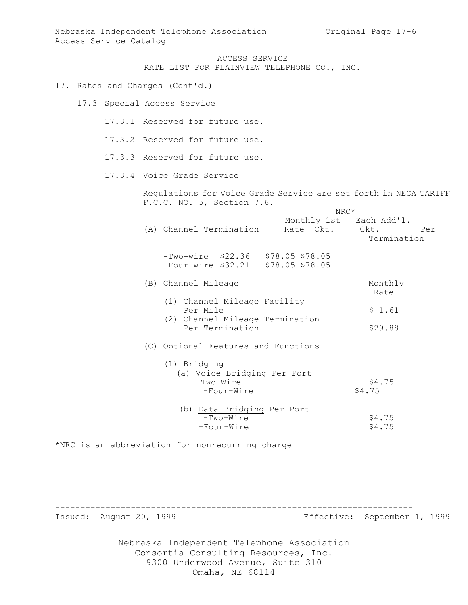- 17. Rates and Charges (Cont'd.)
	- 17.3 Special Access Service
		- 17.3.1 Reserved for future use.
		- 17.3.2 Reserved for future use.
		- 17.3.3 Reserved for future use.
		- 17.3.4 Voice Grade Service

Regulations for Voice Grade Service are set forth in NECA TARIFF F.C.C. NO. 5, Section 7.6.  $NDC*$ 

|                                                                           | ハレヘ                                  |                  |
|---------------------------------------------------------------------------|--------------------------------------|------------------|
| (A) Channel Termination                                                   | Monthly 1st Each Add'l.<br>Rate Ckt. | Ckt.<br>Per      |
|                                                                           |                                      | Termination      |
| $-Two-wire$ \$22.36 \$78.05 \$78.05<br>-Four-wire \$32.21 \$78.05 \$78.05 |                                      |                  |
| (B) Channel Mileage                                                       |                                      | Monthly<br>Rate  |
| (1) Channel Mileage Facility<br>Per Mile                                  |                                      | \$1.61           |
| (2) Channel Mileage Termination<br>Per Termination                        |                                      | \$29.88          |
| (C) Optional Features and Functions                                       |                                      |                  |
| (1) Bridging<br>(a) Voice Bridging Per Port<br>$-Two-Wire$                |                                      | \$4.75           |
| -Four-Wire                                                                |                                      | \$4.75           |
| (b) Data Bridging Per Port<br>$-Two-Wire$<br>-Four-Wire                   |                                      | \$4.75<br>\$4.75 |

\*NRC is an abbreviation for nonrecurring charge

-----------------------------------------------------------------------

Issued: August 20, 1999 Effective: September 1, 1999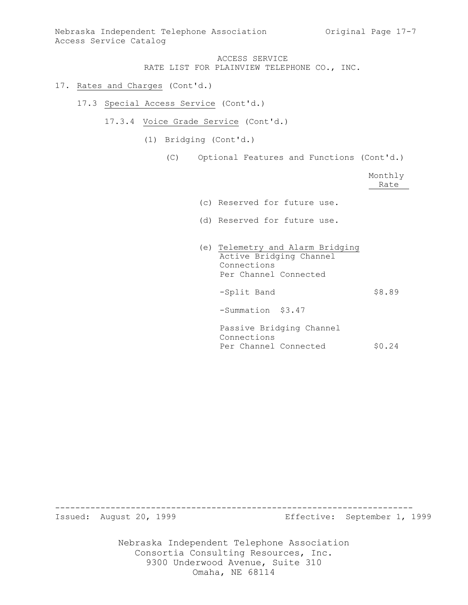### 17. Rates and Charges (Cont'd.)

- 17.3 Special Access Service (Cont'd.)
	- 17.3.4 Voice Grade Service (Cont'd.)
		- (1) Bridging (Cont'd.)
			- (C) Optional Features and Functions (Cont'd.)

Monthly Rate\_\_

- (c) Reserved for future use.
- (d) Reserved for future use.
- (e) Telemetry and Alarm Bridging Active Bridging Channel Connections Per Channel Connected -Split Band \$8.89 -Summation \$3.47 Passive Bridging Channel Connections Per Channel Connected \$0.24

----------------------------------------------------------------------- Issued: August 20, 1999 Effective: September 1, 1999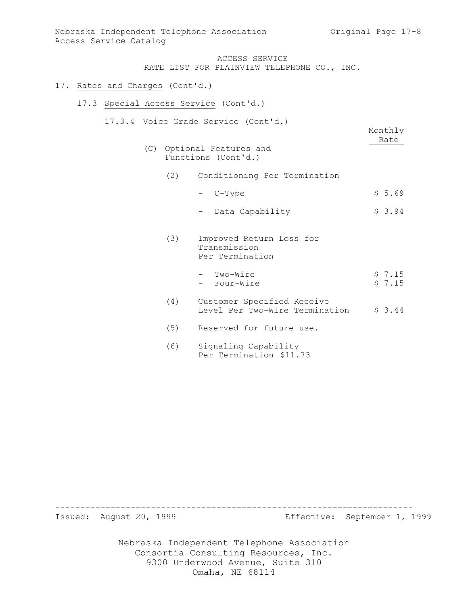### 17. Rates and Charges (Cont'd.)

- 17.3 Special Access Service (Cont'd.)
	- 17.3.4 Voice Grade Service (Cont'd.)

Monthly Rate

- (C) Optional Features and Functions (Cont'd.)
	- (2) Conditioning Per Termination
		- $-$  C-Type  $\frac{1}{5.69}$
		- Data Capability  $$3.94$
	- (3) Improved Return Loss for Transmission Per Termination
		- Two-Wire  $\qquad \qquad$  \$ 7.15 - Four-Wire  $\frac{1}{2}$  7.15
	- (4) Customer Specified Receive Level Per Two-Wire Termination \$ 3.44
	- (5) Reserved for future use.
	- (6) Signaling Capability Per Termination \$11.73

----------------------------------------------------------------------- Issued: August 20, 1999 Effective: September 1, 1999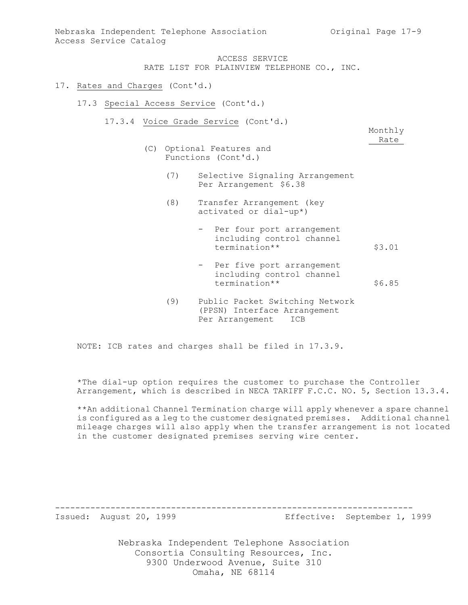- 17. Rates and Charges (Cont'd.)
	- 17.3 Special Access Service (Cont'd.)
		- 17.3.4 Voice Grade Service (Cont'd.)

Monthly Rate

- (C) Optional Features and Functions (Cont'd.)
	- (7) Selective Signaling Arrangement Per Arrangement \$6.38
	- (8) Transfer Arrangement (key activated or dial-up\*)
		- Per four port arrangement including control channel termination\*\* \$3.01
		- Per five port arrangement including control channel termination\*\* \$6.85
	- (9) Public Packet Switching Network (PPSN) Interface Arrangement Per Arrangement ICB

NOTE: ICB rates and charges shall be filed in 17.3.9.

\*The dial-up option requires the customer to purchase the Controller Arrangement, which is described in NECA TARIFF F.C.C. NO. 5, Section 13.3.4.

\*\*An additional Channel Termination charge will apply whenever a spare channel is configured as a leg to the customer designated premises. Additional channel mileage charges will also apply when the transfer arrangement is not located in the customer designated premises serving wire center.

-----------------------------------------------------------------------

Issued: August 20, 1999 Effective: September 1, 1999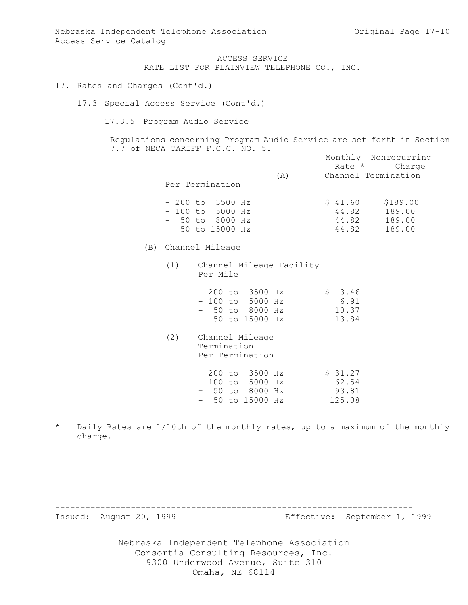# 17. Rates and Charges (Cont'd.)

17.3 Special Access Service (Cont'd.)

### 17.3.5 Program Audio Service

Regulations concerning Program Audio Service are set forth in Section 7.7 of NECA TARIFF F.C.C. NO. 5. Monthly Nonrecurring

|                   |     |                     | MONTUIY NONTECUTTING |
|-------------------|-----|---------------------|----------------------|
|                   |     | Rate *              | Charge               |
|                   | (A) | Channel Termination |                      |
| Per Termination   |     |                     |                      |
|                   |     |                     |                      |
| $-200$ to 3500 Hz |     | \$41.60             | \$189.00             |
| $-100$ to 5000 Hz |     | 44.82               | 189.00               |
| $-50$ to 8000 Hz  |     | 44.82               | 189.00               |
| $-50$ to 15000 Hz |     | 44.82               | 189.00               |
|                   |     |                     |                      |

- (B) Channel Mileage
	- (1) Channel Mileage Facility Per Mile

|  | $-200$ to 3500 Hz | \$3.46 |
|--|-------------------|--------|
|  | $-100$ to 5000 Hz | 6.91   |
|  | $-50$ to 8000 Hz  | 10.37  |
|  | $-50$ to 15000 Hz | 13.84  |

(2) Channel Mileage Termination Per Termination

|  | - 200 to 3500 Hz  | \$31.27 |
|--|-------------------|---------|
|  | $-100$ to 5000 Hz | 62.54   |
|  | - 50 to 8000 Hz   | 93.81   |
|  | - 50 to 15000 Hz  | 125.08  |

\* Daily Rates are 1/10th of the monthly rates, up to a maximum of the monthly charge.

-----------------------------------------------------------------------

Issued: August 20, 1999 Effective: September 1, 1999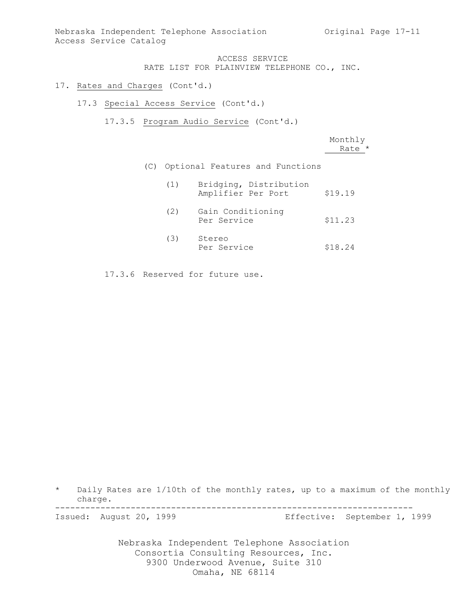- 17. Rates and Charges (Cont'd.)
	- 17.3 Special Access Service (Cont'd.)
		- 17.3.5 Program Audio Service (Cont'd.)

|     |     |                                              | Monthly<br>Rate * |
|-----|-----|----------------------------------------------|-------------------|
| (C) |     | Optional Features and Functions              |                   |
|     | (1) | Bridging, Distribution<br>Amplifier Per Port | \$19.19           |
|     | (2) | Gain Conditioning<br>Per Service             | \$11.23           |
|     | (3) | Stereo<br>Per Service                        | \$18.24           |

17.3.6 Reserved for future use.

\* Daily Rates are 1/10th of the monthly rates, up to a maximum of the monthly charge.

-----------------------------------------------------------------------

Issued: August 20, 1999 Effective: September 1, 1999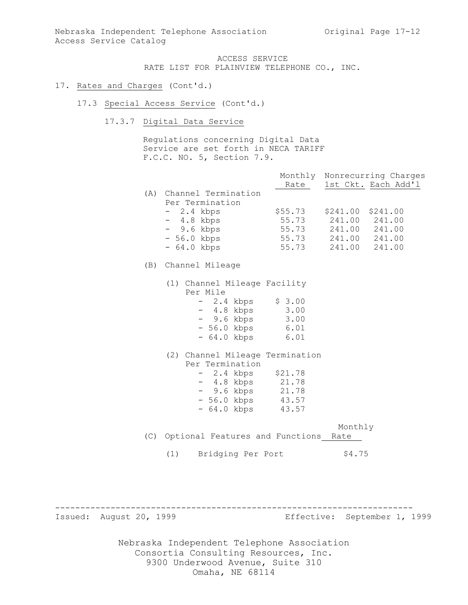#### 17. Rates and Charges (Cont'd.)

17.3 Special Access Service (Cont'd.)

17.3.7 Digital Data Service

Regulations concerning Digital Data Service are set forth in NECA TARIFF F.C.C. NO. 5, Section 7.9.

|     |                     | Monthly<br>Rate |          | Nonrecurring Charges<br>1st Ckt. Each Add'l |
|-----|---------------------|-----------------|----------|---------------------------------------------|
| (A) | Channel Termination |                 |          |                                             |
|     | Per Termination     |                 |          |                                             |
|     | $-2.4$ kbps         | \$55.73         | \$241.00 | \$241.00                                    |
|     | $-4.8$ kbps         | 55.73           | 241.00   | 241.00                                      |
|     | $-9.6$ kbps         | 55.73           | 241.00   | 241.00                                      |
|     | $-56.0$ kbps        | 55.73           | 241.00   | 241.00                                      |
|     | $-64.0$ kbps        | 55.73           | 241.00   | 241.00                                      |
|     |                     |                 |          |                                             |

### (B) Channel Mileage

(1) Channel Mileage Facility Per Mile - 2.4 kbps \$ 3.00 - 4.8 kbps 3.00 - 9.6 kbps 3.00 - 56.0 kbps 6.01

(2) Channel Mileage Termination Per Termination - 2.4 kbps \$21.78 - 4.8 kbps 21.78 - 9.6 kbps 21.78 - 56.0 kbps 43.57

- 64.0 kbps 6.01

Monthly (C) Optional Features and Functions Rate

(1) Bridging Per Port \$4.75

- 64.0 kbps 43.57

----------------------------------------------------------------------- Issued: August 20, 1999 Effective: September 1, 1999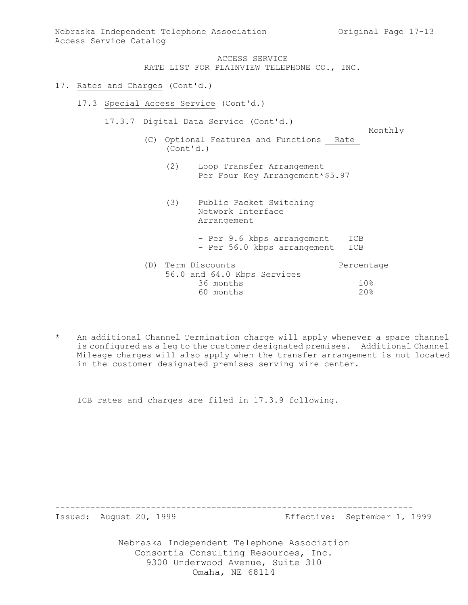#### 17. Rates and Charges (Cont'd.)

- 17.3 Special Access Service (Cont'd.)
	- 17.3.7 Digital Data Service (Cont'd.)

Monthly

- (C) Optional Features and Functions Rate (Cont'd.)
	- (2) Loop Transfer Arrangement Per Four Key Arrangement\*\$5.97
	- (3) Public Packet Switching Network Interface Arrangement - Per 9.6 kbps arrangement ICB - Per 56.0 kbps arrangement ICB

| (D) | Term Discounts              | Percentage      |
|-----|-----------------------------|-----------------|
|     | 56.0 and 64.0 Kbps Services |                 |
|     | 36 months                   | 10 <sup>g</sup> |
|     | 60 months                   | $20$ .          |
|     |                             |                 |

An additional Channel Termination charge will apply whenever a spare channel is configured as a leg to the customer designated premises. Additional Channel Mileage charges will also apply when the transfer arrangement is not located in the customer designated premises serving wire center.

ICB rates and charges are filed in 17.3.9 following.

-----------------------------------------------------------------------

Issued: August 20, 1999 Effective: September 1, 1999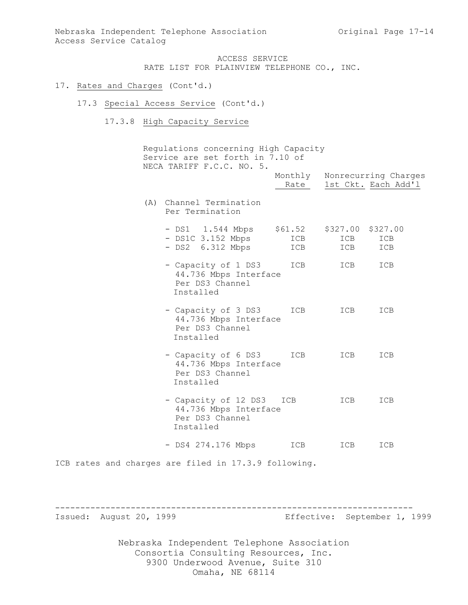#### 17. Rates and Charges (Cont'd.)

- 17.3 Special Access Service (Cont'd.)
	- 17.3.8 High Capacity Service

Regulations concerning High Capacity Service are set forth in 7.10 of NECA TARIFF F.C.C. NO. 5. Monthly Nonrecurring Charges Rate 1st Ckt. Each Add'l (A) Channel Termination Per Termination - DS1 1.544 Mbps \$61.52 \$327.00 \$327.00 - DS1C 3.152 Mbps ICB ICB ICB - DS2 6.312 Mbps ICB ICB ICB - Capacity of 1 DS3 ICB ICB ICB 44.736 Mbps Interface Per DS3 Channel Installed - Capacity of 3 DS3 ICB ICB ICB 44.736 Mbps Interface Per DS3 Channel Installed - Capacity of 6 DS3 ICB ICB ICB 44.736 Mbps Interface Per DS3 Channel Installed - Capacity of 12 DS3 ICB ICB ICB 44.736 Mbps Interface Per DS3 Channel Installed - DS4 274.176 Mbps ICB ICB ICB ICB rates and charges are filed in 17.3.9 following.

----------------------------------------------------------------------- Issued: August 20, 1999 Effective: September 1, 1999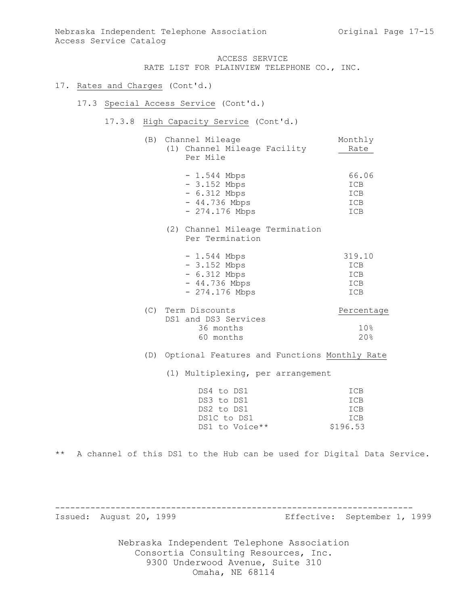### 17. Rates and Charges (Cont'd.)

### 17.3 Special Access Service (Cont'd.)

17.3.8 High Capacity Service (Cont'd.)

| (B) Channel Mileage<br>(1) Channel Mileage Facility<br>Per Mile                   | Monthly<br>Rate                      |
|-----------------------------------------------------------------------------------|--------------------------------------|
| - 1.544 Mbps<br>- 3.152 Mbps<br>- 6.312 Mbps<br>- 44.736 Mbps<br>- 274.176 Mbps   | 66.06<br>ICB<br>ICB<br>ICB<br>ICB    |
| (2) Channel Mileage Termination<br>Per Termination                                |                                      |
| $-1.544$ Mbps<br>- 3.152 Mbps<br>$-6.312$ Mbps<br>- 44.736 Mbps<br>- 274.176 Mbps | 319.10<br>ICB<br>ICB<br>ICB<br>ICB   |
| (C) Term Discounts<br>DS1 and DS3 Services<br>36 months<br>60 months              | Percentage<br>10 <sup>°</sup><br>20% |
| (D) Optional Features and Functions Monthly Rate                                  |                                      |
| (1) Multiplexing, per arrangement                                                 |                                      |

| DS4 to DS1     | TCB        |
|----------------|------------|
| DS3 to DS1     | <b>TCB</b> |
| DS2 to DS1     | TCB        |
| DS1C to DS1    | TCB        |
| DS1 to Voice** | \$196.53   |

\*\* A channel of this DS1 to the Hub can be used for Digital Data Service.

-----------------------------------------------------------------------

Issued: August 20, 1999 Effective: September 1, 1999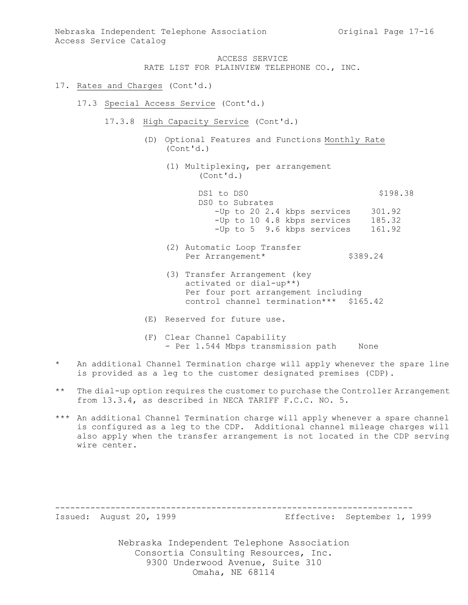- 17. Rates and Charges (Cont'd.)
	- 17.3 Special Access Service (Cont'd.)
		- 17.3.8 High Capacity Service (Cont'd.)
			- (D) Optional Features and Functions Monthly Rate (Cont'd.)
				- (1) Multiplexing, per arrangement (Cont'd.)

|  |            |                 | \$198.38                                                                                 |
|--|------------|-----------------|------------------------------------------------------------------------------------------|
|  |            |                 |                                                                                          |
|  |            |                 | 301.92                                                                                   |
|  |            |                 | 185.32                                                                                   |
|  |            |                 | 161.92                                                                                   |
|  | DS1 to DS0 | DS0 to Subrates | -Up to 20 2.4 kbps services<br>-Up to 10 4.8 kbps services<br>-Up to 5 9.6 kbps services |

- (2) Automatic Loop Transfer Per Arrangement\* \$389.24
- (3) Transfer Arrangement (key activated or dial-up\*\*) Per four port arrangement including control channel termination\*\*\* \$165.42
- (E) Reserved for future use.
- (F) Clear Channel Capability - Per 1.544 Mbps transmission path None
- \* An additional Channel Termination charge will apply whenever the spare line is provided as a leg to the customer designated premises (CDP).
- \*\* The dial-up option requires the customer to purchase the Controller Arrangement from 13.3.4, as described in NECA TARIFF F.C.C. NO. 5.
- \*\*\* An additional Channel Termination charge will apply whenever a spare channel is configured as a leg to the CDP. Additional channel mileage charges will also apply when the transfer arrangement is not located in the CDP serving wire center.

-----------------------------------------------------------------------

Issued: August 20, 1999 Effective: September 1, 1999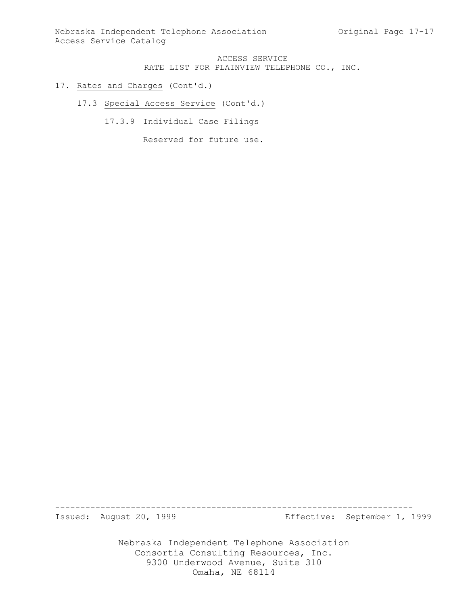### 17. Rates and Charges (Cont'd.)

17.3 Special Access Service (Cont'd.)

17.3.9 Individual Case Filings

Reserved for future use.

-----------------------------------------------------------------------

Issued: August 20, 1999 Effective: September 1, 1999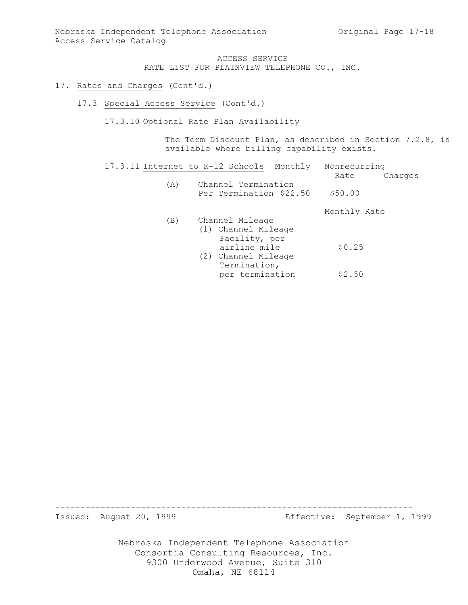### 17. Rates and Charges (Cont'd.)

17.3 Special Access Service (Cont'd.)

17.3.10 Optional Rate Plan Availability

The Term Discount Plan, as described in Section 7.2.8, is available where billing capability exists.

| 17.3.11 Internet to K-12 Schools | Monthly                                                 | Nonrecurring    |
|----------------------------------|---------------------------------------------------------|-----------------|
|                                  |                                                         | Charges<br>Rate |
| (A)                              | Channel Termination<br>Per Termination \$22.50          | \$50.00         |
|                                  |                                                         | Monthly Rate    |
| (B)                              | Channel Mileage<br>(1) Channel Mileage<br>Facility, per |                 |
|                                  | airline mile<br>(2) Channel Mileage<br>Termination,     | \$0.25          |
|                                  | per termination                                         | \$2.50          |

-----------------------------------------------------------------------

Issued: August 20, 1999 Effective: September 1, 1999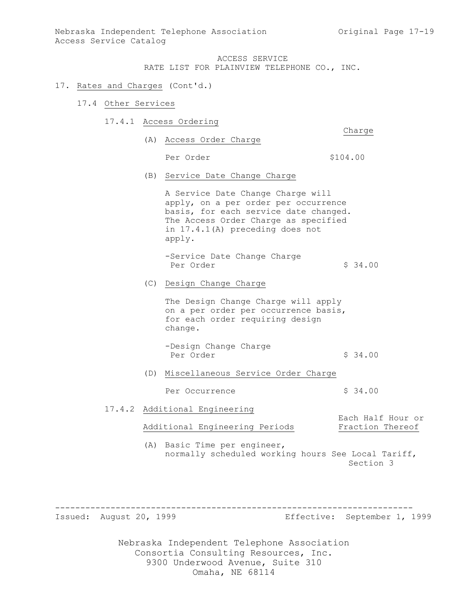### 17. Rates and Charges (Cont'd.)

- 17.4 Other Services
	- 17.4.1 Access Ordering Charge
		- (A) Access Order Charge

Per Order  $$104.00$ 

- 
- (B) Service Date Change Charge

A Service Date Change Charge will apply, on a per order per occurrence basis, for each service date changed. The Access Order Charge as specified in 17.4.1(A) preceding does not apply.

-Service Date Change Charge Per Order  $\frac{1}{2}$  \$ 34.00

(C) Design Change Charge

The Design Change Charge will apply on a per order per occurrence basis, for each order requiring design change.

-Design Change Charge Per Order  $\sim$  \$ 34.00

(D) Miscellaneous Service Order Charge

Per Occurrence  $\frac{1}{2}$  \$ 34.00

17.4.2 Additional Engineering

Additional Engineering Periods Fraction Thereof

Each Half Hour or

(A) Basic Time per engineer, normally scheduled working hours See Local Tariff, Section 3

-----------------------------------------------------------------------

Issued: August 20, 1999 Effective: September 1, 1999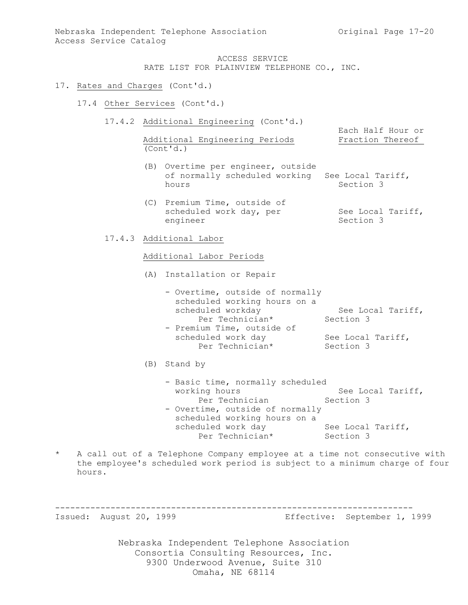#### 17. Rates and Charges (Cont'd.)

- 17.4 Other Services (Cont'd.)
	- 17.4.2 Additional Engineering (Cont'd.)

Additional Engineering Periods Fraction Thereof (Cont'd.)

Each Half Hour or

- (B) Overtime per engineer, outside of normally scheduled working See Local Tariff, hours Section 3
- (C) Premium Time, outside of scheduled work day, per See Local Tariff, engineer Section 3
- 17.4.3 Additional Labor

#### Additional Labor Periods

- (A) Installation or Repair
	- Overtime, outside of normally scheduled working hours on a scheduled workday See Local Tariff, Per Technician\* Section 3
	- Premium Time, outside of scheduled work day See Local Tariff, Per Technician\* Section 3

### (B) Stand by

- Basic time, normally scheduled working hours See Local Tariff, Per Technician Section 3 - Overtime, outside of normally scheduled working hours on a scheduled work day See Local Tariff, Per Technician\* Section 3
- A call out of a Telephone Company employee at a time not consecutive with the employee's scheduled work period is subject to a minimum charge of four hours.

-----------------------------------------------------------------------

Issued: August 20, 1999 Effective: September 1, 1999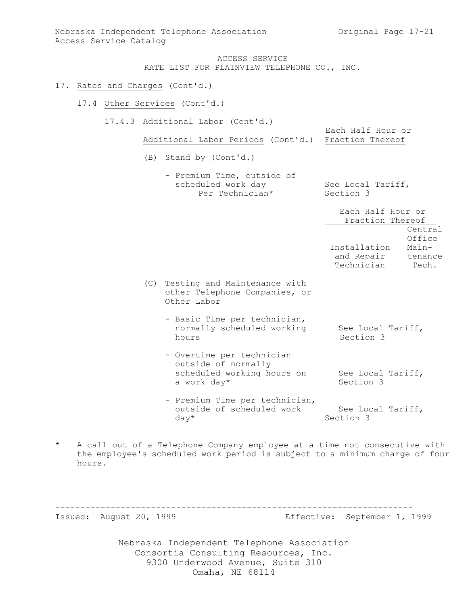Each Half Hour or

ACCESS SERVICE RATE LIST FOR PLAINVIEW TELEPHONE CO., INC.

#### 17. Rates and Charges (Cont'd.)

#### 17.4 Other Services (Cont'd.)

17.4.3 Additional Labor (Cont'd.)

```
Additional Labor Periods (Cont'd.) Fraction Thereof
```
- (B) Stand by (Cont'd.)
	- Premium Time, outside of scheduled work day See Local Tariff, Per Technician\* Section 3

|                                          | Each Half Hour or<br>Fraction Thereof    |                           |
|------------------------------------------|------------------------------------------|---------------------------|
|                                          |                                          | Central<br>Office         |
|                                          | Installation<br>and Repair<br>Technician | Main-<br>tenance<br>Tech. |
| $a + i n \alpha$ and Maintenance $u + h$ |                                          |                           |

- (C) Testing and Maintenance with other Telephone Companies, or Other Labor
	- Basic Time per technician, normally scheduled working See Local Tariff, hours Section 3
	- Overtime per technician outside of normally scheduled working hours on See Local Tariff, a work day\* Section 3
	- Premium Time per technician, outside of scheduled work See Local Tariff, day\* Section 3
- \* A call out of a Telephone Company employee at a time not consecutive with the employee's scheduled work period is subject to a minimum charge of four hours.

-----------------------------------------------------------------------

Issued: August 20, 1999 Effective: September 1, 1999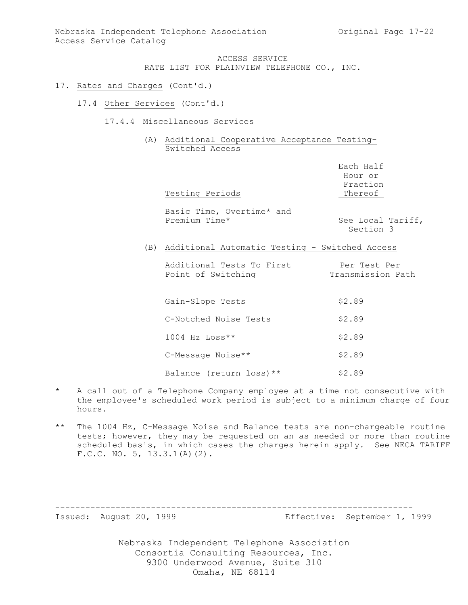- 17. Rates and Charges (Cont'd.)
	- 17.4 Other Services (Cont'd.)
		- 17.4.4 Miscellaneous Services
			- (A) Additional Cooperative Acceptance Testing-Switched Access

| Testing Periods                                    | Each Half<br>Hour or<br>Fraction<br>Thereof |  |
|----------------------------------------------------|---------------------------------------------|--|
| Basic Time, Overtime* and<br>Premium Time*         | See Local Tariff,<br>Section 3              |  |
| (B) Additional Automatic Testing - Switched Access |                                             |  |
| Additional Tests To First<br>Point of Switching    | Per Test Per<br>Transmission Path           |  |
| Gain-Slope Tests                                   | \$2.89                                      |  |
| C-Notched Noise Tests                              | \$2.89                                      |  |
| $1004$ Hz Loss**                                   | \$2.89                                      |  |
| C-Message Noise**                                  | \$2.89                                      |  |
| Balance (return loss) **                           | \$2.89                                      |  |

- \* A call out of a Telephone Company employee at a time not consecutive with the employee's scheduled work period is subject to a minimum charge of four hours.
- \*\* The 1004 Hz, C-Message Noise and Balance tests are non-chargeable routine tests; however, they may be requested on an as needed or more than routine scheduled basis, in which cases the charges herein apply. See NECA TARIFF F.C.C. NO. 5, 13.3.1(A)(2).

-----------------------------------------------------------------------

Issued: August 20, 1999 Effective: September 1, 1999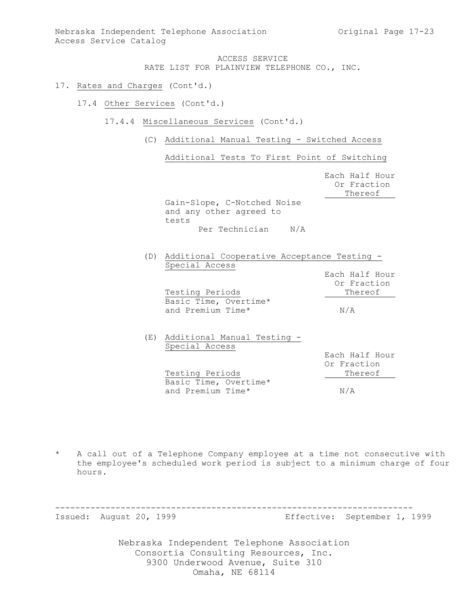- 17. Rates and Charges (Cont'd.)
	- 17.4 Other Services (Cont'd.)
		- 17.4.4 Miscellaneous Services (Cont'd.)
			- (C) Additional Manual Testing Switched Access

Additional Tests To First Point of Switching

|                                                                 | Each Half Hour<br>Or Fraction<br>Thereof |
|-----------------------------------------------------------------|------------------------------------------|
| Gain-Slope, C-Notched Noise<br>and any other agreed to<br>tests |                                          |
| N/A<br>Per Technician                                           |                                          |
| Additional Cooperative Acceptance Testing -                     |                                          |

| Special Access                  |                |
|---------------------------------|----------------|
|                                 | Each Half Hour |
|                                 | Or Fraction    |
| Testing Periods                 | Thereof        |
| Basic Time, Overtime*           |                |
| and Premium Time*               | N/A            |
|                                 |                |
| (E) Additional Manual Testing - |                |
| Special Access                  |                |
|                                 | Each Half Hour |
|                                 | Or Fraction    |
| Testing Periods                 | Thereof        |
| Basic Time, Overtime*           |                |
| and Premium Time*               | N/A            |

\* A call out of a Telephone Company employee at a time not consecutive with the employee's scheduled work period is subject to a minimum charge of four hours.

-----------------------------------------------------------------------

Issued: August 20, 1999 Effective: September 1, 1999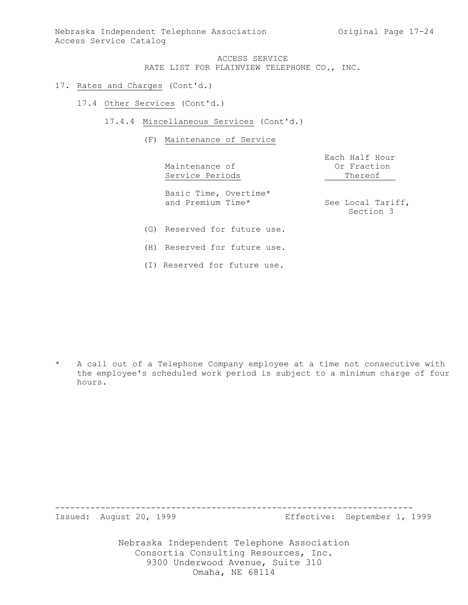- 17. Rates and Charges (Cont'd.)
	- 17.4 Other Services (Cont'd.)
		- 17.4.4 Miscellaneous Services (Cont'd.)
			- (F) Maintenance of Service

Maintenance of Or Fraction

Each Half Hour Service Periods Thereof

Basic Time, Overtime\* and Premium Time\* See Local Tariff,

Section 3

- (G) Reserved for future use.
- (H) Reserved for future use.
- (I) Reserved for future use.

\* A call out of a Telephone Company employee at a time not consecutive with the employee's scheduled work period is subject to a minimum charge of four hours.

Issued: August 20, 1999 Effective: September 1, 1999

Nebraska Independent Telephone Association Consortia Consulting Resources, Inc. 9300 Underwood Avenue, Suite 310 Omaha, NE 68114

-----------------------------------------------------------------------